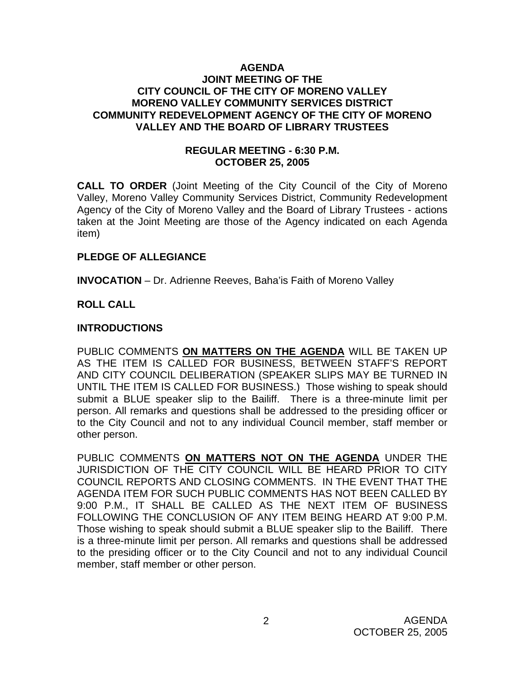#### **AGENDA JOINT MEETING OF THE CITY COUNCIL OF THE CITY OF MORENO VALLEY MORENO VALLEY COMMUNITY SERVICES DISTRICT COMMUNITY REDEVELOPMENT AGENCY OF THE CITY OF MORENO VALLEY AND THE BOARD OF LIBRARY TRUSTEES**

## **REGULAR MEETING - 6:30 P.M. OCTOBER 25, 2005**

**CALL TO ORDER** (Joint Meeting of the City Council of the City of Moreno Valley, Moreno Valley Community Services District, Community Redevelopment Agency of the City of Moreno Valley and the Board of Library Trustees - actions taken at the Joint Meeting are those of the Agency indicated on each Agenda item)

## **PLEDGE OF ALLEGIANCE**

**INVOCATION** – Dr. Adrienne Reeves, Baha'is Faith of Moreno Valley

# **ROLL CALL**

#### **INTRODUCTIONS**

PUBLIC COMMENTS **ON MATTERS ON THE AGENDA** WILL BE TAKEN UP AS THE ITEM IS CALLED FOR BUSINESS, BETWEEN STAFF'S REPORT AND CITY COUNCIL DELIBERATION (SPEAKER SLIPS MAY BE TURNED IN UNTIL THE ITEM IS CALLED FOR BUSINESS.) Those wishing to speak should submit a BLUE speaker slip to the Bailiff. There is a three-minute limit per person. All remarks and questions shall be addressed to the presiding officer or to the City Council and not to any individual Council member, staff member or other person.

PUBLIC COMMENTS **ON MATTERS NOT ON THE AGENDA** UNDER THE JURISDICTION OF THE CITY COUNCIL WILL BE HEARD PRIOR TO CITY COUNCIL REPORTS AND CLOSING COMMENTS. IN THE EVENT THAT THE AGENDA ITEM FOR SUCH PUBLIC COMMENTS HAS NOT BEEN CALLED BY 9:00 P.M., IT SHALL BE CALLED AS THE NEXT ITEM OF BUSINESS FOLLOWING THE CONCLUSION OF ANY ITEM BEING HEARD AT 9:00 P.M. Those wishing to speak should submit a BLUE speaker slip to the Bailiff. There is a three-minute limit per person. All remarks and questions shall be addressed to the presiding officer or to the City Council and not to any individual Council member, staff member or other person.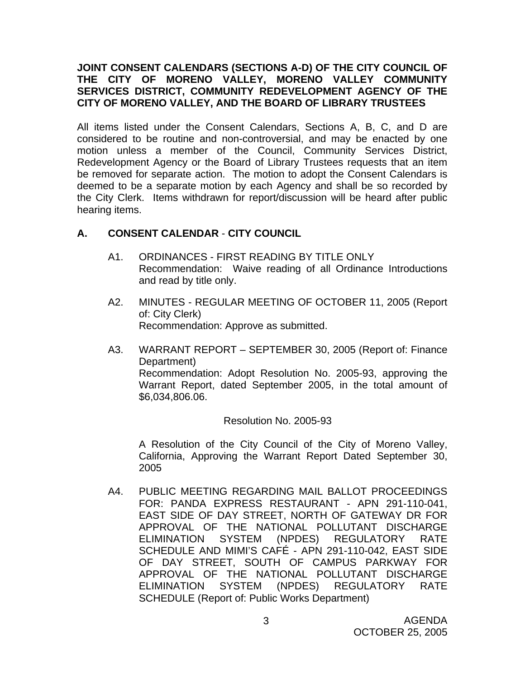# **JOINT CONSENT CALENDARS (SECTIONS A-D) OF THE CITY COUNCIL OF THE CITY OF MORENO VALLEY, MORENO VALLEY COMMUNITY SERVICES DISTRICT, COMMUNITY REDEVELOPMENT AGENCY OF THE CITY OF MORENO VALLEY, AND THE BOARD OF LIBRARY TRUSTEES**

All items listed under the Consent Calendars, Sections A, B, C, and D are considered to be routine and non-controversial, and may be enacted by one motion unless a member of the Council, Community Services District, Redevelopment Agency or the Board of Library Trustees requests that an item be removed for separate action. The motion to adopt the Consent Calendars is deemed to be a separate motion by each Agency and shall be so recorded by the City Clerk. Items withdrawn for report/discussion will be heard after public hearing items.

# **A. CONSENT CALENDAR** - **CITY COUNCIL**

- A1. ORDINANCES FIRST READING BY TITLE ONLY Recommendation: Waive reading of all Ordinance Introductions and read by title only.
- A2. MINUTES REGULAR MEETING OF OCTOBER 11, 2005 (Report of: City Clerk) Recommendation: Approve as submitted.
- A3. WARRANT REPORT SEPTEMBER 30, 2005 (Report of: Finance Department) Recommendation: Adopt Resolution No. 2005-93, approving the Warrant Report, dated September 2005, in the total amount of \$6,034,806.06.

## Resolution No. 2005-93

A Resolution of the City Council of the City of Moreno Valley, California, Approving the Warrant Report Dated September 30, 2005

A4. PUBLIC MEETING REGARDING MAIL BALLOT PROCEEDINGS FOR: PANDA EXPRESS RESTAURANT - APN 291-110-041, EAST SIDE OF DAY STREET, NORTH OF GATEWAY DR FOR APPROVAL OF THE NATIONAL POLLUTANT DISCHARGE ELIMINATION SYSTEM (NPDES) REGULATORY RATE SCHEDULE AND MIMI'S CAFÉ - APN 291-110-042, EAST SIDE OF DAY STREET, SOUTH OF CAMPUS PARKWAY FOR APPROVAL OF THE NATIONAL POLLUTANT DISCHARGE ELIMINATION SYSTEM (NPDES) REGULATORY RATE SCHEDULE (Report of: Public Works Department)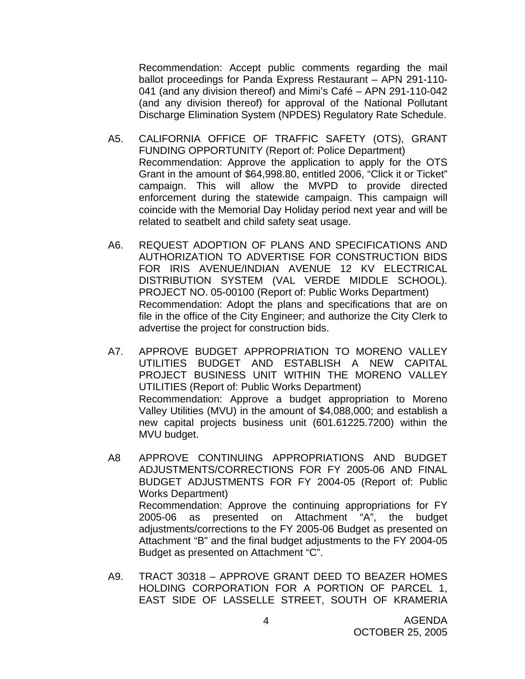Recommendation: Accept public comments regarding the mail ballot proceedings for Panda Express Restaurant – APN 291-110- 041 (and any division thereof) and Mimi's Café – APN 291-110-042 (and any division thereof) for approval of the National Pollutant Discharge Elimination System (NPDES) Regulatory Rate Schedule.

- A5. CALIFORNIA OFFICE OF TRAFFIC SAFETY (OTS), GRANT FUNDING OPPORTUNITY (Report of: Police Department) Recommendation: Approve the application to apply for the OTS Grant in the amount of \$64,998.80, entitled 2006, "Click it or Ticket" campaign. This will allow the MVPD to provide directed enforcement during the statewide campaign. This campaign will coincide with the Memorial Day Holiday period next year and will be related to seatbelt and child safety seat usage.
- A6. REQUEST ADOPTION OF PLANS AND SPECIFICATIONS AND AUTHORIZATION TO ADVERTISE FOR CONSTRUCTION BIDS FOR IRIS AVENUE/INDIAN AVENUE 12 KV ELECTRICAL DISTRIBUTION SYSTEM (VAL VERDE MIDDLE SCHOOL). PROJECT NO. 05-00100 (Report of: Public Works Department) Recommendation: Adopt the plans and specifications that are on file in the office of the City Engineer; and authorize the City Clerk to advertise the project for construction bids.
- A7. APPROVE BUDGET APPROPRIATION TO MORENO VALLEY UTILITIES BUDGET AND ESTABLISH A NEW CAPITAL PROJECT BUSINESS UNIT WITHIN THE MORENO VALLEY UTILITIES (Report of: Public Works Department) Recommendation: Approve a budget appropriation to Moreno Valley Utilities (MVU) in the amount of \$4,088,000; and establish a new capital projects business unit (601.61225.7200) within the MVU budget.
- A8 APPROVE CONTINUING APPROPRIATIONS AND BUDGET ADJUSTMENTS/CORRECTIONS FOR FY 2005-06 AND FINAL BUDGET ADJUSTMENTS FOR FY 2004-05 (Report of: Public Works Department) Recommendation: Approve the continuing appropriations for FY 2005-06 as presented on Attachment "A", the budget adjustments/corrections to the FY 2005-06 Budget as presented on Attachment "B" and the final budget adjustments to the FY 2004-05 Budget as presented on Attachment "C".
- A9. TRACT 30318 APPROVE GRANT DEED TO BEAZER HOMES HOLDING CORPORATION FOR A PORTION OF PARCEL 1, EAST SIDE OF LASSELLE STREET, SOUTH OF KRAMERIA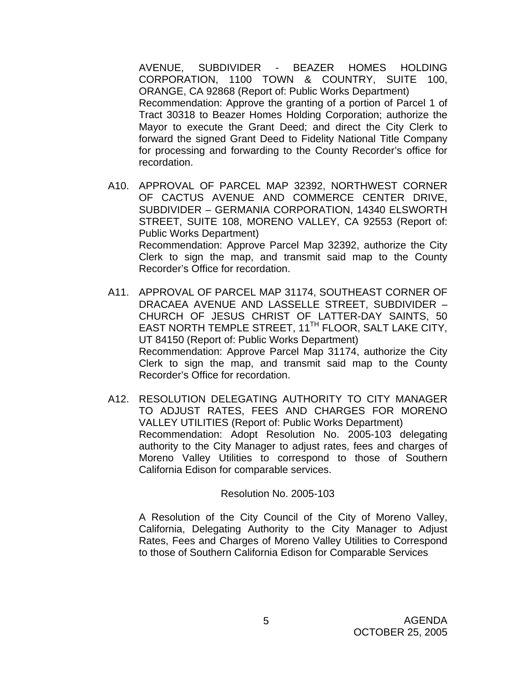AVENUE, SUBDIVIDER - BEAZER HOMES HOLDING CORPORATION, 1100 TOWN & COUNTRY, SUITE 100, ORANGE, CA 92868 (Report of: Public Works Department) Recommendation: Approve the granting of a portion of Parcel 1 of Tract 30318 to Beazer Homes Holding Corporation; authorize the Mayor to execute the Grant Deed; and direct the City Clerk to forward the signed Grant Deed to Fidelity National Title Company for processing and forwarding to the County Recorder's office for recordation.

- A10. APPROVAL OF PARCEL MAP 32392, NORTHWEST CORNER OF CACTUS AVENUE AND COMMERCE CENTER DRIVE, SUBDIVIDER – GERMANIA CORPORATION, 14340 ELSWORTH STREET, SUITE 108, MORENO VALLEY, CA 92553 (Report of: Public Works Department) Recommendation: Approve Parcel Map 32392, authorize the City Clerk to sign the map, and transmit said map to the County Recorder's Office for recordation.
- A11. APPROVAL OF PARCEL MAP 31174, SOUTHEAST CORNER OF DRACAEA AVENUE AND LASSELLE STREET, SUBDIVIDER – CHURCH OF JESUS CHRIST OF LATTER-DAY SAINTS, 50 EAST NORTH TEMPLE STREET, 11<sup>TH</sup> FLOOR, SALT LAKE CITY, UT 84150 (Report of: Public Works Department) Recommendation: Approve Parcel Map 31174, authorize the City Clerk to sign the map, and transmit said map to the County Recorder's Office for recordation.
- A12. RESOLUTION DELEGATING AUTHORITY TO CITY MANAGER TO ADJUST RATES, FEES AND CHARGES FOR MORENO VALLEY UTILITIES (Report of: Public Works Department) Recommendation: Adopt Resolution No. 2005-103 delegating authority to the City Manager to adjust rates, fees and charges of Moreno Valley Utilities to correspond to those of Southern California Edison for comparable services.

#### Resolution No. 2005-103

A Resolution of the City Council of the City of Moreno Valley, California, Delegating Authority to the City Manager to Adjust Rates, Fees and Charges of Moreno Valley Utilities to Correspond to those of Southern California Edison for Comparable Services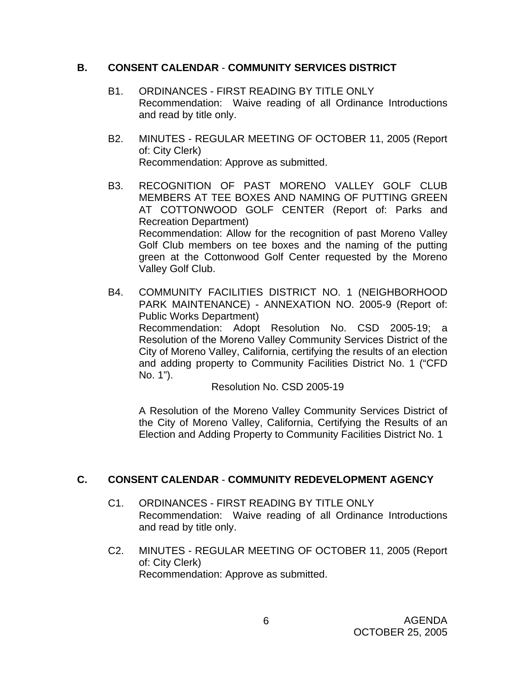## **B. CONSENT CALENDAR** - **COMMUNITY SERVICES DISTRICT**

- B1. ORDINANCES FIRST READING BY TITLE ONLY Recommendation: Waive reading of all Ordinance Introductions and read by title only.
- B2. MINUTES REGULAR MEETING OF OCTOBER 11, 2005 (Report of: City Clerk) Recommendation: Approve as submitted.
- B3. RECOGNITION OF PAST MORENO VALLEY GOLF CLUB MEMBERS AT TEE BOXES AND NAMING OF PUTTING GREEN AT COTTONWOOD GOLF CENTER (Report of: Parks and Recreation Department) Recommendation: Allow for the recognition of past Moreno Valley Golf Club members on tee boxes and the naming of the putting green at the Cottonwood Golf Center requested by the Moreno Valley Golf Club.

B4. COMMUNITY FACILITIES DISTRICT NO. 1 (NEIGHBORHOOD PARK MAINTENANCE) - ANNEXATION NO. 2005-9 (Report of: Public Works Department) Recommendation: Adopt Resolution No. CSD 2005-19; a Resolution of the Moreno Valley Community Services District of the City of Moreno Valley, California, certifying the results of an election and adding property to Community Facilities District No. 1 ("CFD No. 1").

Resolution No. CSD 2005-19

A Resolution of the Moreno Valley Community Services District of the City of Moreno Valley, California, Certifying the Results of an Election and Adding Property to Community Facilities District No. 1

# **C. CONSENT CALENDAR** - **COMMUNITY REDEVELOPMENT AGENCY**

- C1. ORDINANCES FIRST READING BY TITLE ONLY Recommendation: Waive reading of all Ordinance Introductions and read by title only.
- C2. MINUTES REGULAR MEETING OF OCTOBER 11, 2005 (Report of: City Clerk) Recommendation: Approve as submitted.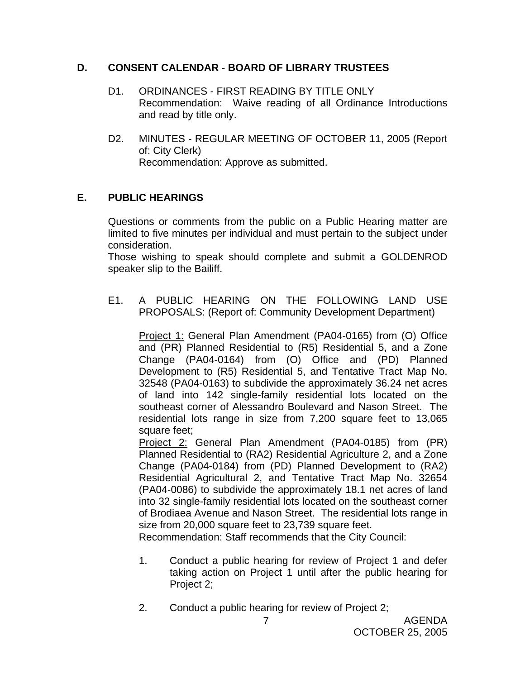# **D. CONSENT CALENDAR** - **BOARD OF LIBRARY TRUSTEES**

- D1. ORDINANCES FIRST READING BY TITLE ONLY Recommendation: Waive reading of all Ordinance Introductions and read by title only.
- D2. MINUTES REGULAR MEETING OF OCTOBER 11, 2005 (Report of: City Clerk) Recommendation: Approve as submitted.

# **E. PUBLIC HEARINGS**

Questions or comments from the public on a Public Hearing matter are limited to five minutes per individual and must pertain to the subject under consideration.

 Those wishing to speak should complete and submit a GOLDENROD speaker slip to the Bailiff.

E1. A PUBLIC HEARING ON THE FOLLOWING LAND USE PROPOSALS: (Report of: Community Development Department)

Project 1: General Plan Amendment (PA04-0165) from (O) Office and (PR) Planned Residential to (R5) Residential 5, and a Zone Change (PA04-0164) from (O) Office and (PD) Planned Development to (R5) Residential 5, and Tentative Tract Map No. 32548 (PA04-0163) to subdivide the approximately 36.24 net acres of land into 142 single-family residential lots located on the southeast corner of Alessandro Boulevard and Nason Street. The residential lots range in size from 7,200 square feet to 13,065 square feet;

Project 2: General Plan Amendment (PA04-0185) from (PR) Planned Residential to (RA2) Residential Agriculture 2, and a Zone Change (PA04-0184) from (PD) Planned Development to (RA2) Residential Agricultural 2, and Tentative Tract Map No. 32654 (PA04-0086) to subdivide the approximately 18.1 net acres of land into 32 single-family residential lots located on the southeast corner of Brodiaea Avenue and Nason Street. The residential lots range in size from 20,000 square feet to 23,739 square feet.

Recommendation: Staff recommends that the City Council:

- 1. Conduct a public hearing for review of Project 1 and defer taking action on Project 1 until after the public hearing for Project 2;
- 2. Conduct a public hearing for review of Project 2;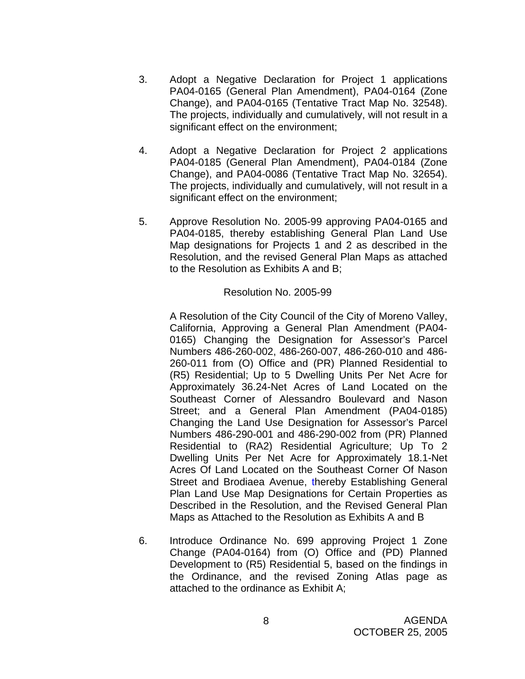- 3. Adopt a Negative Declaration for Project 1 applications PA04-0165 (General Plan Amendment), PA04-0164 (Zone Change), and PA04-0165 (Tentative Tract Map No. 32548). The projects, individually and cumulatively, will not result in a significant effect on the environment;
- 4. Adopt a Negative Declaration for Project 2 applications PA04-0185 (General Plan Amendment), PA04-0184 (Zone Change), and PA04-0086 (Tentative Tract Map No. 32654). The projects, individually and cumulatively, will not result in a significant effect on the environment;
- 5. Approve Resolution No. 2005-99 approving PA04-0165 and PA04-0185, thereby establishing General Plan Land Use Map designations for Projects 1 and 2 as described in the Resolution, and the revised General Plan Maps as attached to the Resolution as Exhibits A and B;

 A Resolution of the City Council of the City of Moreno Valley, California, Approving a General Plan Amendment (PA04- 0165) Changing the Designation for Assessor's Parcel Numbers 486-260-002, 486-260-007, 486-260-010 and 486- 260-011 from (O) Office and (PR) Planned Residential to (R5) Residential; Up to 5 Dwelling Units Per Net Acre for Approximately 36.24-Net Acres of Land Located on the Southeast Corner of Alessandro Boulevard and Nason Street; and a General Plan Amendment (PA04-0185) Changing the Land Use Designation for Assessor's Parcel Numbers 486-290-001 and 486-290-002 from (PR) Planned Residential to (RA2) Residential Agriculture; Up To 2 Dwelling Units Per Net Acre for Approximately 18.1-Net Acres Of Land Located on the Southeast Corner Of Nason Street and Brodiaea Avenue, thereby Establishing General Plan Land Use Map Designations for Certain Properties as Described in the Resolution, and the Revised General Plan Maps as Attached to the Resolution as Exhibits A and B

6. Introduce Ordinance No. 699 approving Project 1 Zone Change (PA04-0164) from (O) Office and (PD) Planned Development to (R5) Residential 5, based on the findings in the Ordinance, and the revised Zoning Atlas page as attached to the ordinance as Exhibit A;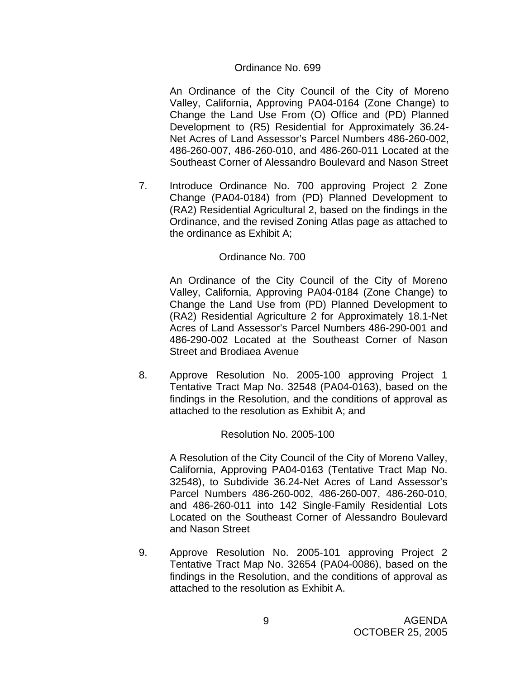#### Ordinance No. 699

An Ordinance of the City Council of the City of Moreno Valley, California, Approving PA04-0164 (Zone Change) to Change the Land Use From (O) Office and (PD) Planned Development to (R5) Residential for Approximately 36.24- Net Acres of Land Assessor's Parcel Numbers 486-260-002, 486-260-007, 486-260-010, and 486-260-011 Located at the Southeast Corner of Alessandro Boulevard and Nason Street

7. Introduce Ordinance No. 700 approving Project 2 Zone Change (PA04-0184) from (PD) Planned Development to (RA2) Residential Agricultural 2, based on the findings in the Ordinance, and the revised Zoning Atlas page as attached to the ordinance as Exhibit A;

#### Ordinance No. 700

An Ordinance of the City Council of the City of Moreno Valley, California, Approving PA04-0184 (Zone Change) to Change the Land Use from (PD) Planned Development to (RA2) Residential Agriculture 2 for Approximately 18.1-Net Acres of Land Assessor's Parcel Numbers 486-290-001 and 486-290-002 Located at the Southeast Corner of Nason Street and Brodiaea Avenue

8. Approve Resolution No. 2005-100 approving Project 1 Tentative Tract Map No. 32548 (PA04-0163), based on the findings in the Resolution, and the conditions of approval as attached to the resolution as Exhibit A; and

#### Resolution No. 2005-100

 A Resolution of the City Council of the City of Moreno Valley, California, Approving PA04-0163 (Tentative Tract Map No. 32548), to Subdivide 36.24-Net Acres of Land Assessor's Parcel Numbers 486-260-002, 486-260-007, 486-260-010, and 486-260-011 into 142 Single-Family Residential Lots Located on the Southeast Corner of Alessandro Boulevard and Nason Street

9. Approve Resolution No. 2005-101 approving Project 2 Tentative Tract Map No. 32654 (PA04-0086), based on the findings in the Resolution, and the conditions of approval as attached to the resolution as Exhibit A.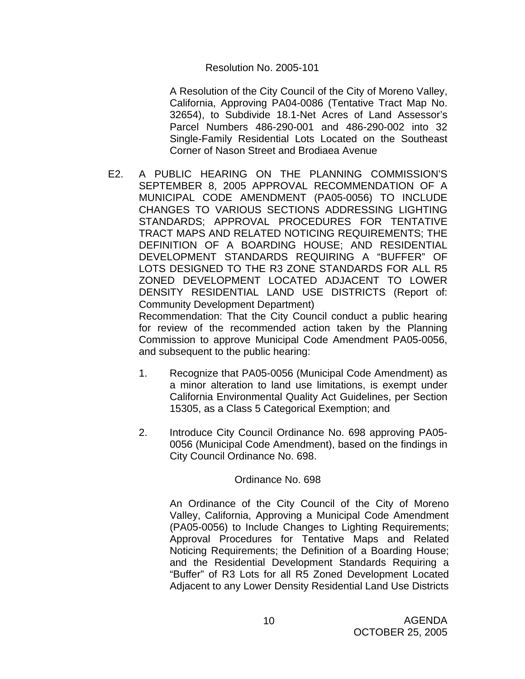A Resolution of the City Council of the City of Moreno Valley, California, Approving PA04-0086 (Tentative Tract Map No. 32654), to Subdivide 18.1-Net Acres of Land Assessor's Parcel Numbers 486-290-001 and 486-290-002 into 32 Single-Family Residential Lots Located on the Southeast Corner of Nason Street and Brodiaea Avenue

E2. A PUBLIC HEARING ON THE PLANNING COMMISSION'S SEPTEMBER 8, 2005 APPROVAL RECOMMENDATION OF A MUNICIPAL CODE AMENDMENT (PA05-0056) TO INCLUDE CHANGES TO VARIOUS SECTIONS ADDRESSING LIGHTING STANDARDS; APPROVAL PROCEDURES FOR TENTATIVE TRACT MAPS AND RELATED NOTICING REQUIREMENTS; THE DEFINITION OF A BOARDING HOUSE; AND RESIDENTIAL DEVELOPMENT STANDARDS REQUIRING A "BUFFER" OF LOTS DESIGNED TO THE R3 ZONE STANDARDS FOR ALL R5 ZONED DEVELOPMENT LOCATED ADJACENT TO LOWER DENSITY RESIDENTIAL LAND USE DISTRICTS (Report of: Community Development Department)

Recommendation: That the City Council conduct a public hearing for review of the recommended action taken by the Planning Commission to approve Municipal Code Amendment PA05-0056, and subsequent to the public hearing:

- 1. Recognize that PA05-0056 (Municipal Code Amendment) as a minor alteration to land use limitations, is exempt under California Environmental Quality Act Guidelines, per Section 15305, as a Class 5 Categorical Exemption; and
- 2. Introduce City Council Ordinance No. 698 approving PA05- 0056 (Municipal Code Amendment), based on the findings in City Council Ordinance No. 698.

## Ordinance No. 698

 An Ordinance of the City Council of the City of Moreno Valley, California, Approving a Municipal Code Amendment (PA05-0056) to Include Changes to Lighting Requirements; Approval Procedures for Tentative Maps and Related Noticing Requirements; the Definition of a Boarding House; and the Residential Development Standards Requiring a "Buffer" of R3 Lots for all R5 Zoned Development Located Adjacent to any Lower Density Residential Land Use Districts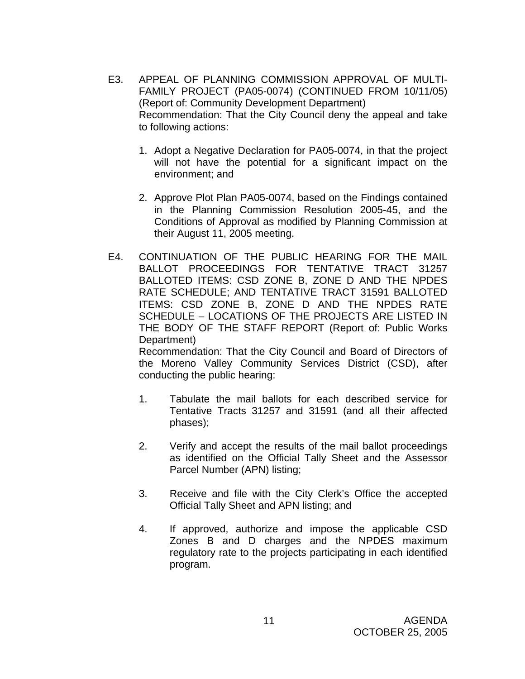- E3. APPEAL OF PLANNING COMMISSION APPROVAL OF MULTI-FAMILY PROJECT (PA05-0074) (CONTINUED FROM 10/11/05) (Report of: Community Development Department) Recommendation: That the City Council deny the appeal and take to following actions:
	- 1. Adopt a Negative Declaration for PA05-0074, in that the project will not have the potential for a significant impact on the environment; and
	- 2. Approve Plot Plan PA05-0074, based on the Findings contained in the Planning Commission Resolution 2005-45, and the Conditions of Approval as modified by Planning Commission at their August 11, 2005 meeting.
- E4. CONTINUATION OF THE PUBLIC HEARING FOR THE MAIL BALLOT PROCEEDINGS FOR TENTATIVE TRACT 31257 BALLOTED ITEMS: CSD ZONE B, ZONE D AND THE NPDES RATE SCHEDULE; AND TENTATIVE TRACT 31591 BALLOTED ITEMS: CSD ZONE B, ZONE D AND THE NPDES RATE SCHEDULE – LOCATIONS OF THE PROJECTS ARE LISTED IN THE BODY OF THE STAFF REPORT (Report of: Public Works Department)

 Recommendation: That the City Council and Board of Directors of the Moreno Valley Community Services District (CSD), after conducting the public hearing:

- 1. Tabulate the mail ballots for each described service for Tentative Tracts 31257 and 31591 (and all their affected phases);
- 2. Verify and accept the results of the mail ballot proceedings as identified on the Official Tally Sheet and the Assessor Parcel Number (APN) listing;
- 3. Receive and file with the City Clerk's Office the accepted Official Tally Sheet and APN listing; and
- 4. If approved, authorize and impose the applicable CSD Zones B and D charges and the NPDES maximum regulatory rate to the projects participating in each identified program.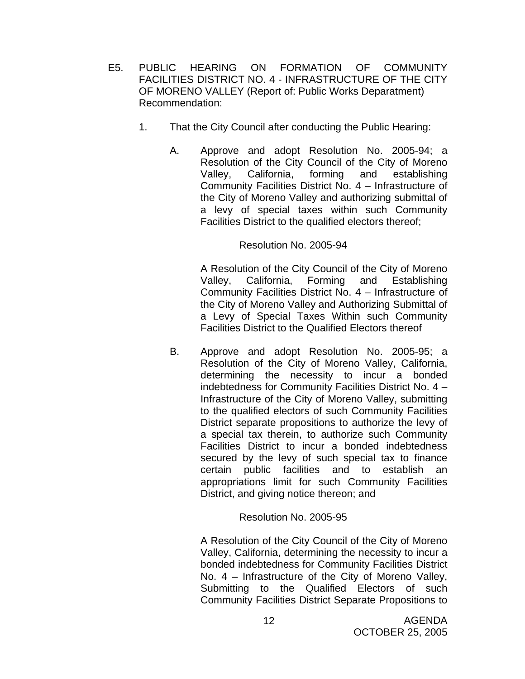- E5. PUBLIC HEARING ON FORMATION OF COMMUNITY FACILITIES DISTRICT NO. 4 - INFRASTRUCTURE OF THE CITY OF MORENO VALLEY (Report of: Public Works Deparatment) Recommendation:
	- 1. That the City Council after conducting the Public Hearing:
		- A. Approve and adopt Resolution No. 2005-94; a Resolution of the City Council of the City of Moreno Valley, California, forming and establishing Community Facilities District No. 4 – Infrastructure of the City of Moreno Valley and authorizing submittal of a levy of special taxes within such Community Facilities District to the qualified electors thereof;

 A Resolution of the City Council of the City of Moreno Valley, California, Forming and Establishing Community Facilities District No. 4 – Infrastructure of the City of Moreno Valley and Authorizing Submittal of a Levy of Special Taxes Within such Community Facilities District to the Qualified Electors thereof

B. Approve and adopt Resolution No. 2005-95; a Resolution of the City of Moreno Valley, California, determining the necessity to incur a bonded indebtedness for Community Facilities District No. 4 – Infrastructure of the City of Moreno Valley, submitting to the qualified electors of such Community Facilities District separate propositions to authorize the levy of a special tax therein, to authorize such Community Facilities District to incur a bonded indebtedness secured by the levy of such special tax to finance certain public facilities and to establish an appropriations limit for such Community Facilities District, and giving notice thereon; and

## Resolution No. 2005-95

A Resolution of the City Council of the City of Moreno Valley, California, determining the necessity to incur a bonded indebtedness for Community Facilities District No. 4 – Infrastructure of the City of Moreno Valley, Submitting to the Qualified Electors of such Community Facilities District Separate Propositions to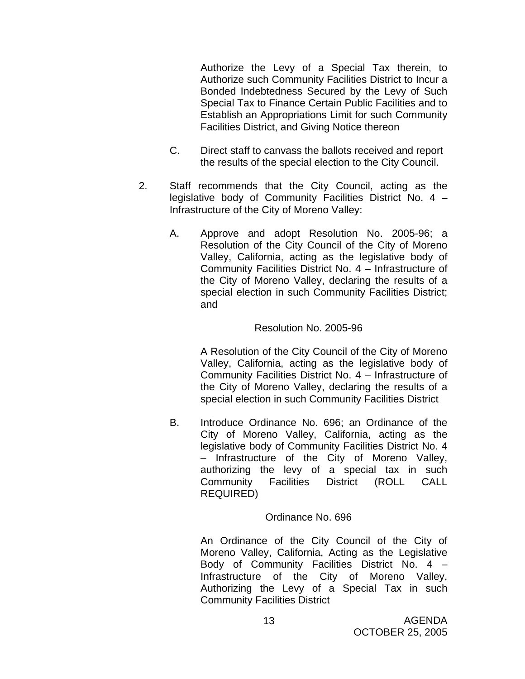Authorize the Levy of a Special Tax therein, to Authorize such Community Facilities District to Incur a Bonded Indebtedness Secured by the Levy of Such Special Tax to Finance Certain Public Facilities and to Establish an Appropriations Limit for such Community Facilities District, and Giving Notice thereon

- C. Direct staff to canvass the ballots received and report the results of the special election to the City Council.
- 2. Staff recommends that the City Council, acting as the legislative body of Community Facilities District No. 4 – Infrastructure of the City of Moreno Valley:
	- A. Approve and adopt Resolution No. 2005-96; a Resolution of the City Council of the City of Moreno Valley, California, acting as the legislative body of Community Facilities District No. 4 – Infrastructure of the City of Moreno Valley, declaring the results of a special election in such Community Facilities District; and

## Resolution No. 2005-96

A Resolution of the City Council of the City of Moreno Valley, California, acting as the legislative body of Community Facilities District No. 4 – Infrastructure of the City of Moreno Valley, declaring the results of a special election in such Community Facilities District

B. Introduce Ordinance No. 696; an Ordinance of the City of Moreno Valley, California, acting as the legislative body of Community Facilities District No. 4 – Infrastructure of the City of Moreno Valley, authorizing the levy of a special tax in such Community Facilities District (ROLL CALL REQUIRED)

## Ordinance No. 696

An Ordinance of the City Council of the City of Moreno Valley, California, Acting as the Legislative Body of Community Facilities District No. 4 – Infrastructure of the City of Moreno Valley, Authorizing the Levy of a Special Tax in such Community Facilities District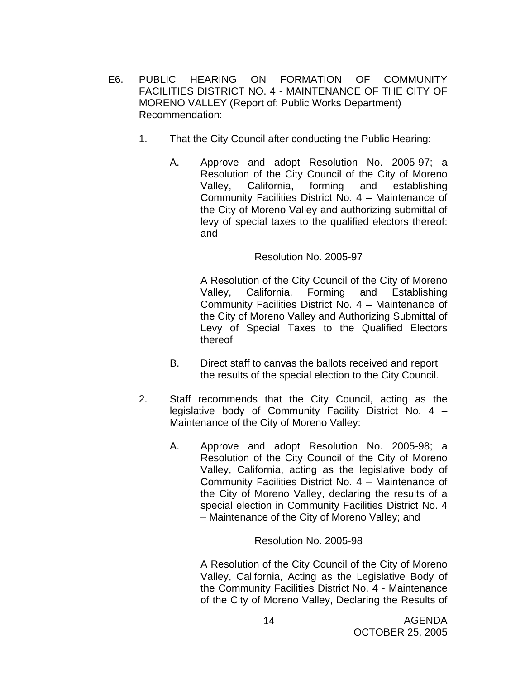- E6. PUBLIC HEARING ON FORMATION OF COMMUNITY FACILITIES DISTRICT NO. 4 - MAINTENANCE OF THE CITY OF MORENO VALLEY (Report of: Public Works Department) Recommendation:
	- 1. That the City Council after conducting the Public Hearing:
		- A. Approve and adopt Resolution No. 2005-97; a Resolution of the City Council of the City of Moreno Valley, California, forming and establishing Community Facilities District No. 4 – Maintenance of the City of Moreno Valley and authorizing submittal of levy of special taxes to the qualified electors thereof: and

A Resolution of the City Council of the City of Moreno Valley, California, Forming and Establishing Community Facilities District No. 4 – Maintenance of the City of Moreno Valley and Authorizing Submittal of Levy of Special Taxes to the Qualified Electors thereof

- B. Direct staff to canvas the ballots received and report the results of the special election to the City Council.
- 2. Staff recommends that the City Council, acting as the legislative body of Community Facility District No. 4 – Maintenance of the City of Moreno Valley:
	- A. Approve and adopt Resolution No. 2005-98; a Resolution of the City Council of the City of Moreno Valley, California, acting as the legislative body of Community Facilities District No. 4 – Maintenance of the City of Moreno Valley, declaring the results of a special election in Community Facilities District No. 4 – Maintenance of the City of Moreno Valley; and

## Resolution No. 2005-98

 A Resolution of the City Council of the City of Moreno Valley, California, Acting as the Legislative Body of the Community Facilities District No. 4 - Maintenance of the City of Moreno Valley, Declaring the Results of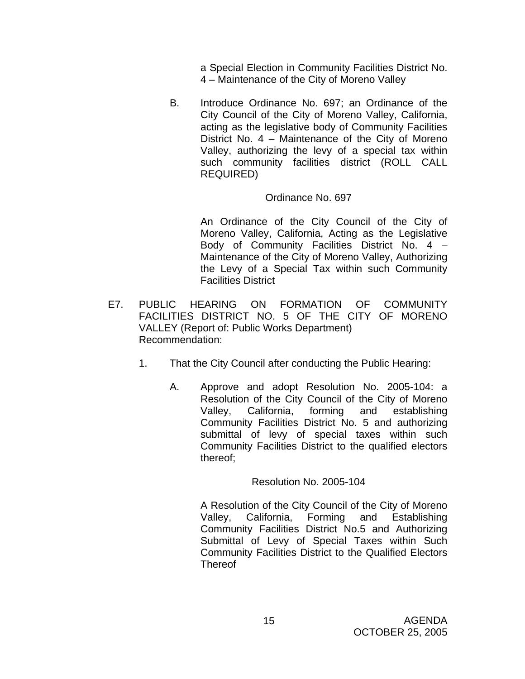a Special Election in Community Facilities District No. 4 – Maintenance of the City of Moreno Valley

B. Introduce Ordinance No. 697; an Ordinance of the City Council of the City of Moreno Valley, California, acting as the legislative body of Community Facilities District No. 4 – Maintenance of the City of Moreno Valley, authorizing the levy of a special tax within such community facilities district (ROLL CALL REQUIRED)

# Ordinance No. 697

An Ordinance of the City Council of the City of Moreno Valley, California, Acting as the Legislative Body of Community Facilities District No. 4 – Maintenance of the City of Moreno Valley, Authorizing the Levy of a Special Tax within such Community Facilities District

- E7. PUBLIC HEARING ON FORMATION OF COMMUNITY FACILITIES DISTRICT NO. 5 OF THE CITY OF MORENO VALLEY (Report of: Public Works Department) Recommendation:
	- 1. That the City Council after conducting the Public Hearing:
		- A. Approve and adopt Resolution No. 2005-104: a Resolution of the City Council of the City of Moreno Valley, California, forming and establishing Community Facilities District No. 5 and authorizing submittal of levy of special taxes within such Community Facilities District to the qualified electors thereof;

# Resolution No. 2005-104

A Resolution of the City Council of the City of Moreno Valley, California, Forming and Establishing Community Facilities District No.5 and Authorizing Submittal of Levy of Special Taxes within Such Community Facilities District to the Qualified Electors Thereof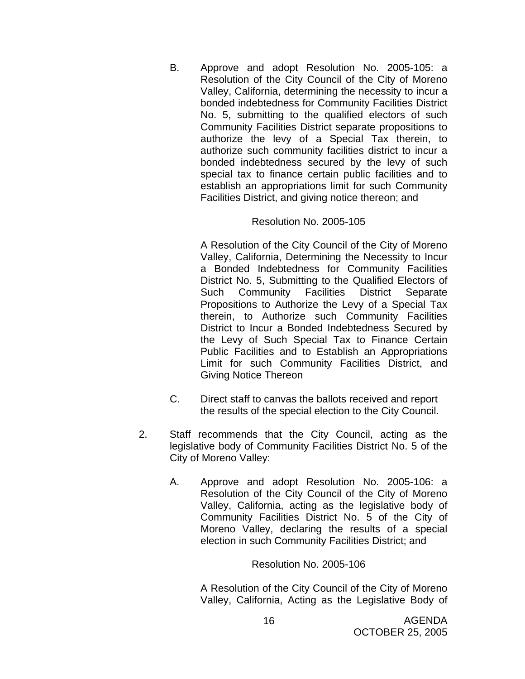B. Approve and adopt Resolution No. 2005-105: a Resolution of the City Council of the City of Moreno Valley, California, determining the necessity to incur a bonded indebtedness for Community Facilities District No. 5, submitting to the qualified electors of such Community Facilities District separate propositions to authorize the levy of a Special Tax therein, to authorize such community facilities district to incur a bonded indebtedness secured by the levy of such special tax to finance certain public facilities and to establish an appropriations limit for such Community Facilities District, and giving notice thereon; and

#### Resolution No. 2005-105

A Resolution of the City Council of the City of Moreno Valley, California, Determining the Necessity to Incur a Bonded Indebtedness for Community Facilities District No. 5, Submitting to the Qualified Electors of Such Community Facilities District Separate Propositions to Authorize the Levy of a Special Tax therein, to Authorize such Community Facilities District to Incur a Bonded Indebtedness Secured by the Levy of Such Special Tax to Finance Certain Public Facilities and to Establish an Appropriations Limit for such Community Facilities District, and Giving Notice Thereon

- C. Direct staff to canvas the ballots received and report the results of the special election to the City Council.
- 2. Staff recommends that the City Council, acting as the legislative body of Community Facilities District No. 5 of the City of Moreno Valley:
	- A. Approve and adopt Resolution No. 2005-106: a Resolution of the City Council of the City of Moreno Valley, California, acting as the legislative body of Community Facilities District No. 5 of the City of Moreno Valley, declaring the results of a special election in such Community Facilities District; and

#### Resolution No. 2005-106

A Resolution of the City Council of the City of Moreno Valley, California, Acting as the Legislative Body of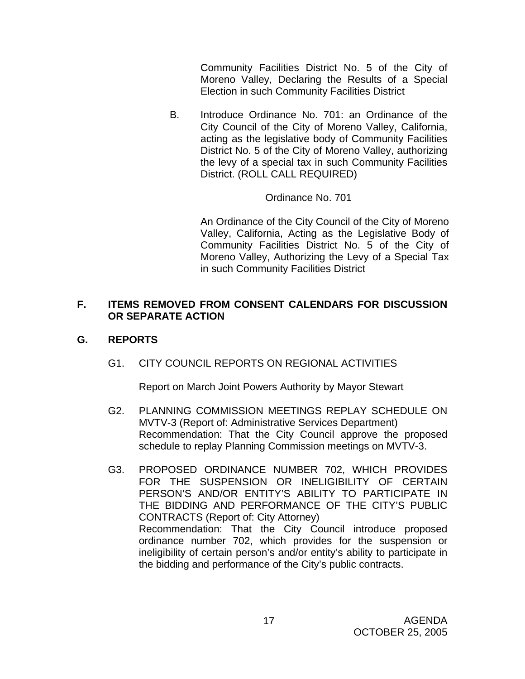Community Facilities District No. 5 of the City of Moreno Valley, Declaring the Results of a Special Election in such Community Facilities District

B. Introduce Ordinance No. 701: an Ordinance of the City Council of the City of Moreno Valley, California, acting as the legislative body of Community Facilities District No. 5 of the City of Moreno Valley, authorizing the levy of a special tax in such Community Facilities District. (ROLL CALL REQUIRED)

# Ordinance No. 701

An Ordinance of the City Council of the City of Moreno Valley, California, Acting as the Legislative Body of Community Facilities District No. 5 of the City of Moreno Valley, Authorizing the Levy of a Special Tax in such Community Facilities District

# **F. ITEMS REMOVED FROM CONSENT CALENDARS FOR DISCUSSION OR SEPARATE ACTION**

# **G. REPORTS**

G1. CITY COUNCIL REPORTS ON REGIONAL ACTIVITIES

Report on March Joint Powers Authority by Mayor Stewart

- G2. PLANNING COMMISSION MEETINGS REPLAY SCHEDULE ON MVTV-3 (Report of: Administrative Services Department) Recommendation: That the City Council approve the proposed schedule to replay Planning Commission meetings on MVTV-3.
- G3. PROPOSED ORDINANCE NUMBER 702, WHICH PROVIDES FOR THE SUSPENSION OR INELIGIBILITY OF CERTAIN PERSON'S AND/OR ENTITY'S ABILITY TO PARTICIPATE IN THE BIDDING AND PERFORMANCE OF THE CITY'S PUBLIC CONTRACTS (Report of: City Attorney) Recommendation: That the City Council introduce proposed ordinance number 702, which provides for the suspension or ineligibility of certain person's and/or entity's ability to participate in the bidding and performance of the City's public contracts.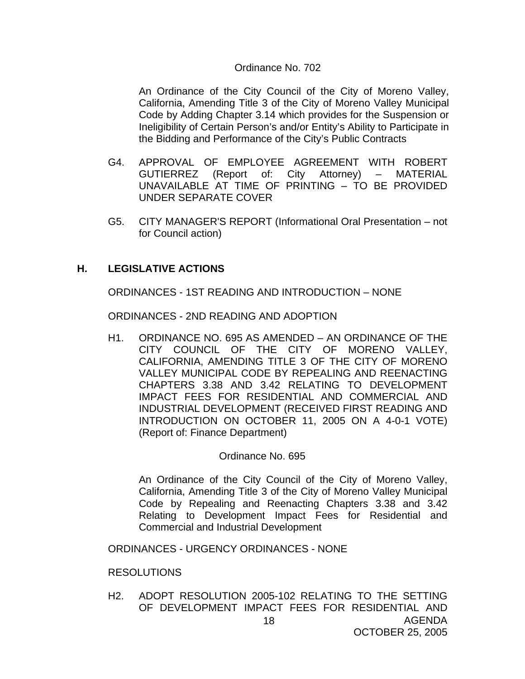#### Ordinance No. 702

An Ordinance of the City Council of the City of Moreno Valley, California, Amending Title 3 of the City of Moreno Valley Municipal Code by Adding Chapter 3.14 which provides for the Suspension or Ineligibility of Certain Person's and/or Entity's Ability to Participate in the Bidding and Performance of the City's Public Contracts

- G4. APPROVAL OF EMPLOYEE AGREEMENT WITH ROBERT GUTIERREZ (Report of: City Attorney) – MATERIAL UNAVAILABLE AT TIME OF PRINTING – TO BE PROVIDED UNDER SEPARATE COVER
- G5. CITY MANAGER'S REPORT (Informational Oral Presentation not for Council action)

# **H. LEGISLATIVE ACTIONS**

ORDINANCES - 1ST READING AND INTRODUCTION – NONE

ORDINANCES - 2ND READING AND ADOPTION

H1. ORDINANCE NO. 695 AS AMENDED – AN ORDINANCE OF THE CITY COUNCIL OF THE CITY OF MORENO VALLEY, CALIFORNIA, AMENDING TITLE 3 OF THE CITY OF MORENO VALLEY MUNICIPAL CODE BY REPEALING AND REENACTING CHAPTERS 3.38 AND 3.42 RELATING TO DEVELOPMENT IMPACT FEES FOR RESIDENTIAL AND COMMERCIAL AND INDUSTRIAL DEVELOPMENT (RECEIVED FIRST READING AND INTRODUCTION ON OCTOBER 11, 2005 ON A 4-0-1 VOTE) (Report of: Finance Department)

#### Ordinance No. 695

 An Ordinance of the City Council of the City of Moreno Valley, California, Amending Title 3 of the City of Moreno Valley Municipal Code by Repealing and Reenacting Chapters 3.38 and 3.42 Relating to Development Impact Fees for Residential and Commercial and Industrial Development

ORDINANCES - URGENCY ORDINANCES - NONE

#### RESOLUTIONS

AGENDA OCTOBER 25, 2005 18 H2. ADOPT RESOLUTION 2005-102 RELATING TO THE SETTING OF DEVELOPMENT IMPACT FEES FOR RESIDENTIAL AND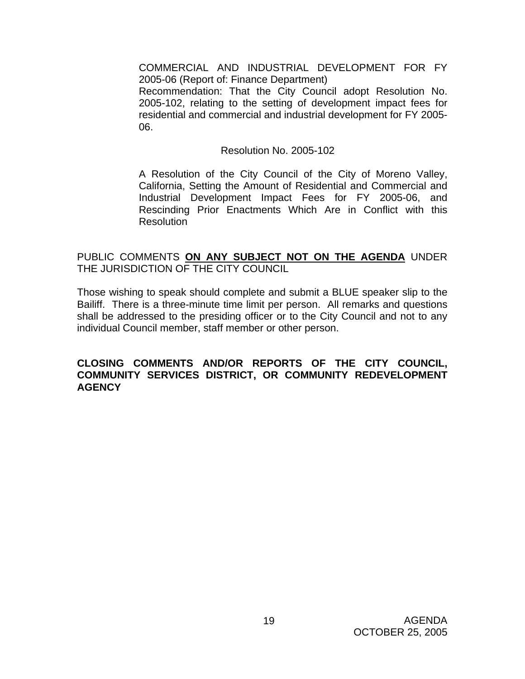COMMERCIAL AND INDUSTRIAL DEVELOPMENT FOR FY 2005-06 (Report of: Finance Department)

 Recommendation: That the City Council adopt Resolution No. 2005-102, relating to the setting of development impact fees for residential and commercial and industrial development for FY 2005- 06.

#### Resolution No. 2005-102

 A Resolution of the City Council of the City of Moreno Valley, California, Setting the Amount of Residential and Commercial and Industrial Development Impact Fees for FY 2005-06, and Rescinding Prior Enactments Which Are in Conflict with this Resolution

## PUBLIC COMMENTS **ON ANY SUBJECT NOT ON THE AGENDA** UNDER THE JURISDICTION OF THE CITY COUNCIL

Those wishing to speak should complete and submit a BLUE speaker slip to the Bailiff. There is a three-minute time limit per person. All remarks and questions shall be addressed to the presiding officer or to the City Council and not to any individual Council member, staff member or other person.

## **CLOSING COMMENTS AND/OR REPORTS OF THE CITY COUNCIL, COMMUNITY SERVICES DISTRICT, OR COMMUNITY REDEVELOPMENT AGENCY**